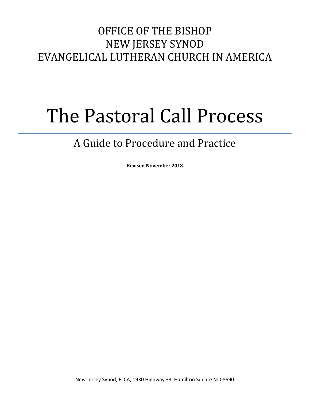# OFFICE OF THE BISHOP NEW JERSEY SYNOD EVANGELICAL LUTHERAN CHURCH IN AMERICA

# The Pastoral Call Process

# A Guide to Procedure and Practice

**Revised November 2018**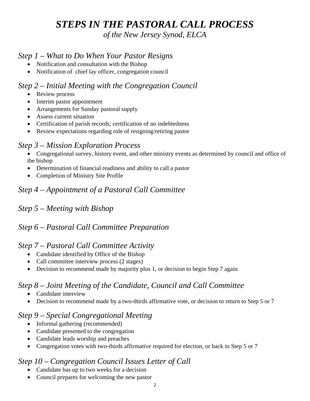# *STEPS IN THE PASTORAL CALL PROCESS*

*of the New Jersey Synod, ELCA* 

#### *Step 1 – What to Do When Your Pastor Resigns*

- Notification and consultation with the Bishop
- Notification of chief lay officer, congregation council

#### *Step 2 – Initial Meeting with the Congregation Council*

- Review process
- Interim pastor appointment
- Arrangements for Sunday pastoral supply
- Assess current situation
- Certification of parish records; certification of no indebtedness
- Review expectations regarding role of resigning/retiring pastor

#### *Step 3 – Mission Exploration Process*

- Congregational survey, history event, and other ministry events as determined by council and office of the bishop
- Determination of financial readiness and ability to call a pastor
- Completion of Ministry Site Profile

# *Step 4 – Appointment of a Pastoral Call Committee*

# *Step 5 – Meeting with Bishop*

## *Step 6 – Pastoral Call Committee Preparation*

#### *Step 7 – Pastoral Call Committee Activity*

- Candidate identified by Office of the Bishop
- Call committee interview process (2 stages)
- Decision to recommend made by majority plus 1, or decision to begin Step 7 again

## *Step 8 – Joint Meeting of the Candidate, Council and Call Committee*

- Candidate interview
- Decision to recommend made by a two-thirds affirmative vote, or decision to return to Step 5 or 7

#### *Step 9 – Special Congregational Meeting*

- Informal gathering (recommended)
- Candidate presented to the congregation
- Candidate leads worship and preaches
- Congregation votes with two-thirds affirmative required for election, or back to Step 5 or 7

# *Step 10 – Congregation Council Issues Letter of Call*

- Candidate has up to two weeks for a decision
- Council prepares for welcoming the new pastor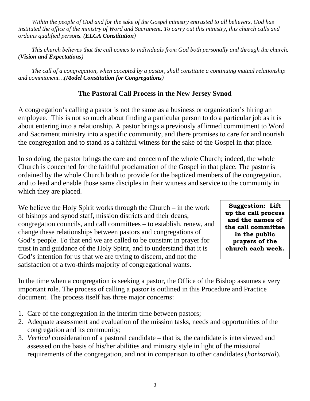*Within the people of God and for the sake of the Gospel ministry entrusted to all believers, God has instituted the office of the ministry of Word and Sacrament. To carry out this ministry, this church calls and ordains qualified persons. (ELCA Constitution)* 

 *This church believes that the call comes to individuals from God both personally and through the church. (Vision and Expectations)* 

 *The call of a congregation, when accepted by a pastor, shall constitute a continuing mutual relationship and commitment…(Model Constitution for Congregations)* 

#### **The Pastoral Call Process in the New Jersey Synod**

A congregation's calling a pastor is not the same as a business or organization's hiring an employee. This is not so much about finding a particular person to do a particular job as it is about entering into a relationship. A pastor brings a previously affirmed commitment to Word and Sacrament ministry into a specific community, and there promises to care for and nourish the congregation and to stand as a faithful witness for the sake of the Gospel in that place.

In so doing, the pastor brings the care and concern of the whole Church; indeed, the whole Church is concerned for the faithful proclamation of the Gospel in that place. The pastor is ordained by the whole Church both to provide for the baptized members of the congregation, and to lead and enable those same disciples in their witness and service to the community in which they are placed.

We believe the Holy Spirit works through the Church – in the work of bishops and synod staff, mission districts and their deans, congregation councils, and call committees – to establish, renew, and change these relationships between pastors and congregations of God's people. To that end we are called to be constant in prayer for trust in and guidance of the Holy Spirit, and to understand that it is God's intention for us that we are trying to discern, and not the satisfaction of a two-thirds majority of congregational wants.

**Suggestion: Lift up the call process and the names of the call committee in the public prayers of the church each week.** 

In the time when a congregation is seeking a pastor, the Office of the Bishop assumes a very important role. The process of calling a pastor is outlined in this Procedure and Practice document. The process itself has three major concerns:

- 1. Care of the congregation in the interim time between pastors;
- 2. Adequate assessment and evaluation of the mission tasks, needs and opportunities of the congregation and its community;
- 3. *Vertical* consideration of a pastoral candidate that is, the candidate is interviewed and assessed on the basis of his/her abilities and ministry style in light of the missional requirements of the congregation, and not in comparison to other candidates (*horizontal*).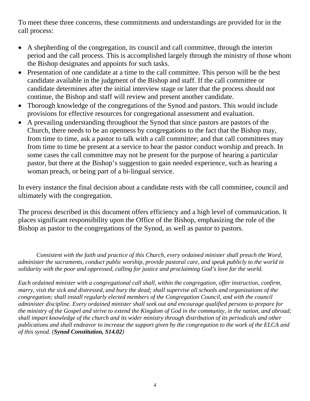To meet these three concerns, these commitments and understandings are provided for in the call process:

- A shepherding of the congregation, its council and call committee, through the interim period and the call process. This is accomplished largely through the ministry of those whom the Bishop designates and appoints for such tasks.
- Presentation of one candidate at a time to the call committee. This person will be the best candidate available in the judgment of the Bishop and staff. If the call committee or candidate determines after the initial interview stage or later that the process should not continue, the Bishop and staff will review and present another candidate.
- Thorough knowledge of the congregations of the Synod and pastors. This would include provisions for effective resources for congregational assessment and evaluation.
- A prevailing understanding throughout the Synod that since pastors are pastors of the Church, there needs to be an openness by congregations to the fact that the Bishop may, from time to time, ask a pastor to talk with a call committee; and that call committees may from time to time be present at a service to hear the pastor conduct worship and preach. In some cases the call committee may not be present for the purpose of hearing a particular pastor, but there at the Bishop's suggestion to gain needed experience, such as hearing a woman preach, or being part of a bi-lingual service.

In every instance the final decision about a candidate rests with the call committee, council and ultimately with the congregation.

The process described in this document offers efficiency and a high level of communication. It places significant responsibility upon the Office of the Bishop, emphasizing the role of the Bishop as pastor to the congregations of the Synod, as well as pastor to pastors.

*Consistent with the faith and practice of this Church, every ordained minister shall preach the Word, administer the sacraments, conduct public worship, provide pastoral care, and speak publicly to the world in solidarity with the poor and oppressed, calling for justice and proclaiming God's love for the world.* 

*Each ordained minister with a congregational call shall, within the congregation, offer instruction, confirm, marry, visit the sick and distressed, and bury the dead; shall supervise all schools and organizations of the congregation; shall install regularly elected members of the Congregation Council, and with the council administer discipline. Every ordained minister shall seek out and encourage qualified persons to prepare for the ministry of the Gospel and strive to extend the Kingdom of God in the community, in the nation, and abroad; shall impart knowledge of the church and its wider ministry through distribution of its periodicals and other publications and shall endeavor to increase the support given by the congregation to the work of the ELCA and of this synod. (Synod Constitution, S14.02)*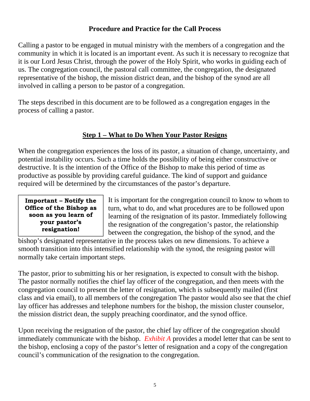#### **Procedure and Practice for the Call Process**

Calling a pastor to be engaged in mutual ministry with the members of a congregation and the community in which it is located is an important event. As such it is necessary to recognize that it is our Lord Jesus Christ, through the power of the Holy Spirit, who works in guiding each of us. The congregation council, the pastoral call committee, the congregation, the designated representative of the bishop, the mission district dean, and the bishop of the synod are all involved in calling a person to be pastor of a congregation.

The steps described in this document are to be followed as a congregation engages in the process of calling a pastor.

#### **Step 1 – What to Do When Your Pastor Resigns**

When the congregation experiences the loss of its pastor, a situation of change, uncertainty, and potential instability occurs. Such a time holds the possibility of being either constructive or destructive. It is the intention of the Office of the Bishop to make this period of time as productive as possible by providing careful guidance. The kind of support and guidance required will be determined by the circumstances of the pastor's departure.

**Important – Notify the Office of the Bishop as soon as you learn of your pastor's resignation!** 

It is important for the congregation council to know to whom to turn, what to do, and what procedures are to be followed upon learning of the resignation of its pastor. Immediately following the resignation of the congregation's pastor, the relationship between the congregation, the bishop of the synod, and the

bishop's designated representative in the process takes on new dimensions. To achieve a smooth transition into this intensified relationship with the synod, the resigning pastor will normally take certain important steps.

The pastor, prior to submitting his or her resignation, is expected to consult with the bishop. The pastor normally notifies the chief lay officer of the congregation, and then meets with the congregation council to present the letter of resignation, which is subsequently mailed (first class and via email), to all members of the congregation The pastor would also see that the chief lay officer has addresses and telephone numbers for the bishop, the mission cluster counselor, the mission district dean, the supply preaching coordinator, and the synod office.

Upon receiving the resignation of the pastor, the chief lay officer of the congregation should immediately communicate with the bishop. *Exhibit A* provides a model letter that can be sent to the bishop, enclosing a copy of the pastor's letter of resignation and a copy of the congregation council's communication of the resignation to the congregation.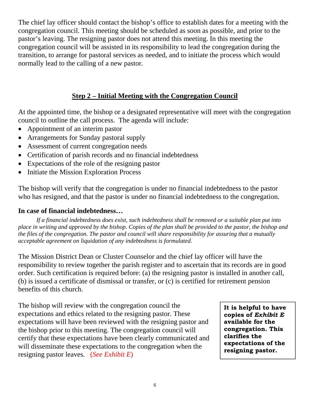The chief lay officer should contact the bishop's office to establish dates for a meeting with the congregation council. This meeting should be scheduled as soon as possible, and prior to the pastor's leaving. The resigning pastor does not attend this meeting. In this meeting the congregation council will be assisted in its responsibility to lead the congregation during the transition, to arrange for pastoral services as needed, and to initiate the process which would normally lead to the calling of a new pastor.

#### **Step 2 – Initial Meeting with the Congregation Council**

At the appointed time, the bishop or a designated representative will meet with the congregation council to outline the call process. The agenda will include:

- Appointment of an interim pastor
- Arrangements for Sunday pastoral supply
- Assessment of current congregation needs
- Certification of parish records and no financial indebtedness
- Expectations of the role of the resigning pastor
- Initiate the Mission Exploration Process

The bishop will verify that the congregation is under no financial indebtedness to the pastor who has resigned, and that the pastor is under no financial indebtedness to the congregation.

#### **In case of financial indebtedness…**

*If a financial indebtedness does exist, such indebtedness shall be removed or a suitable plan put into place in writing and approved by the bishop. Copies of the plan shall be provided to the pastor, the bishop and the files of the congregation. The pastor and council will share responsibility for assuring that a mutually acceptable agreement on liquidation of any indebtedness is formulated.* 

The Mission District Dean or Cluster Counselor and the chief lay officer will have the responsibility to review together the parish register and to ascertain that its records are in good order. Such certification is required before: (a) the resigning pastor is installed in another call, (b) is issued a certificate of dismissal or transfer, or (c) is certified for retirement pension benefits of this church.

The bishop will review with the congregation council the expectations and ethics related to the resigning pastor. These expectations will have been reviewed with the resigning pastor and the bishop prior to this meeting. The congregation council will certify that these expectations have been clearly communicated and will disseminate these expectations to the congregation when the resigning pastor leaves. (*See Exhibit E*)

**It is helpful to have copies of** *Exhibit E* **available for the congregation. This clarifies the expectations of the resigning pastor.**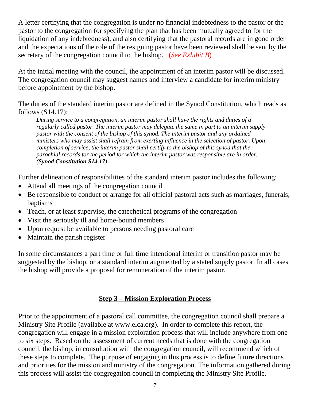A letter certifying that the congregation is under no financial indebtedness to the pastor or the pastor to the congregation (or specifying the plan that has been mutually agreed to for the liquidation of any indebtedness), and also certifying that the pastoral records are in good order and the expectations of the role of the resigning pastor have been reviewed shall be sent by the secretary of the congregation council to the bishop. (*See Exhibit B*)

At the initial meeting with the council, the appointment of an interim pastor will be discussed. The congregation council may suggest names and interview a candidate for interim ministry before appointment by the bishop.

The duties of the standard interim pastor are defined in the Synod Constitution, which reads as follows (S14.17):

*During service to a congregation, an interim pastor shall have the rights and duties of a regularly called pastor. The interim pastor may delegate the same in part to an interim supply pastor with the consent of the bishop of this synod. The interim pastor and any ordained ministers who may assist shall refrain from exerting influence in the selection of pastor. Upon completion of service, the interim pastor shall certify to the bishop of this synod that the parochial records for the period for which the interim pastor was responsible are in order. (Synod Constitution S14.17)* 

Further delineation of responsibilities of the standard interim pastor includes the following:

- Attend all meetings of the congregation council
- Be responsible to conduct or arrange for all official pastoral acts such as marriages, funerals, baptisms
- Teach, or at least supervise, the cate chetical programs of the congregation
- Visit the seriously ill and home-bound members
- Upon request be available to persons needing pastoral care
- Maintain the parish register

In some circumstances a part time or full time intentional interim or transition pastor may be suggested by the bishop, or a standard interim augmented by a stated supply pastor. In all cases the bishop will provide a proposal for remuneration of the interim pastor.

#### **Step 3 – Mission Exploration Process**

Prior to the appointment of a pastoral call committee, the congregation council shall prepare a Ministry Site Profile (available at www.elca.org). In order to complete this report, the congregation will engage in a mission exploration process that will include anywhere from one to six steps. Based on the assessment of current needs that is done with the congregation council, the bishop, in consultation with the congregation council, will recommend which of these steps to complete. The purpose of engaging in this process is to define future directions and priorities for the mission and ministry of the congregation. The information gathered during this process will assist the congregation council in completing the Ministry Site Profile.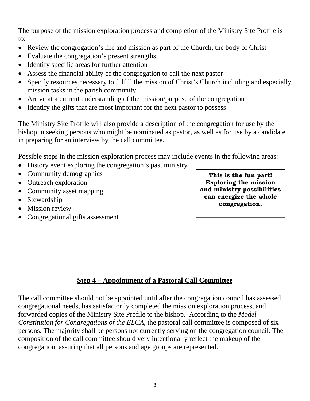The purpose of the mission exploration process and completion of the Ministry Site Profile is to:

- Review the congregation's life and mission as part of the Church, the body of Christ
- Evaluate the congregation's present strengths
- Identify specific areas for further attention
- Assess the financial ability of the congregation to call the next pastor
- Specify resources necessary to fulfill the mission of Christ's Church including and especially mission tasks in the parish community
- Arrive at a current understanding of the mission/purpose of the congregation
- Identify the gifts that are most important for the next pastor to possess

The Ministry Site Profile will also provide a description of the congregation for use by the bishop in seeking persons who might be nominated as pastor, as well as for use by a candidate in preparing for an interview by the call committee.

Possible steps in the mission exploration process may include events in the following areas:

- History event exploring the congregation's past ministry
- Community demographics
- Outreach exploration
- Community asset mapping
- Stewardship
- Mission review
- Congregational gifts assessment

**This is the fun part! Exploring the mission and ministry possibilities can energize the whole congregation.** 

#### **Step 4 – Appointment of a Pastoral Call Committee**

The call committee should not be appointed until after the congregation council has assessed congregational needs, has satisfactorily completed the mission exploration process, and forwarded copies of the Ministry Site Profile to the bishop. According to the *Model Constitution for Congregations of the ELCA*, the pastoral call committee is composed of six persons. The majority shall be persons not currently serving on the congregation council. The composition of the call committee should very intentionally reflect the makeup of the congregation, assuring that all persons and age groups are represented.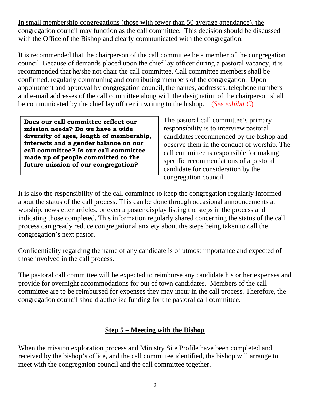In small membership congregations (those with fewer than 50 average attendance), the congregation council may function as the call committee. This decision should be discussed with the Office of the Bishop and clearly communicated with the congregation.

It is recommended that the chairperson of the call committee be a member of the congregation council. Because of demands placed upon the chief lay officer during a pastoral vacancy, it is recommended that he/she not chair the call committee. Call committee members shall be confirmed, regularly communing and contributing members of the congregation. Upon appointment and approval by congregation council, the names, addresses, telephone numbers and e-mail addresses of the call committee along with the designation of the chairperson shall be communicated by the chief lay officer in writing to the bishop. (*See exhibit C*)

**Does our call committee reflect our mission needs? Do we have a wide diversity of ages, length of membership, interests and a gender balance on our call committee? Is our call committee made up of people committed to the future mission of our congregation?** 

The pastoral call committee's primary responsibility is to interview pastoral candidates recommended by the bishop and observe them in the conduct of worship. The call committee is responsible for making specific recommendations of a pastoral candidate for consideration by the congregation council.

It is also the responsibility of the call committee to keep the congregation regularly informed about the status of the call process. This can be done through occasional announcements at worship, newsletter articles, or even a poster display listing the steps in the process and indicating those completed. This information regularly shared concerning the status of the call process can greatly reduce congregational anxiety about the steps being taken to call the congregation's next pastor.

Confidentiality regarding the name of any candidate is of utmost importance and expected of those involved in the call process.

The pastoral call committee will be expected to reimburse any candidate his or her expenses and provide for overnight accommodations for out of town candidates. Members of the call committee are to be reimbursed for expenses they may incur in the call process. Therefore, the congregation council should authorize funding for the pastoral call committee.

#### **Step 5 – Meeting with the Bishop**

When the mission exploration process and Ministry Site Profile have been completed and received by the bishop's office, and the call committee identified, the bishop will arrange to meet with the congregation council and the call committee together.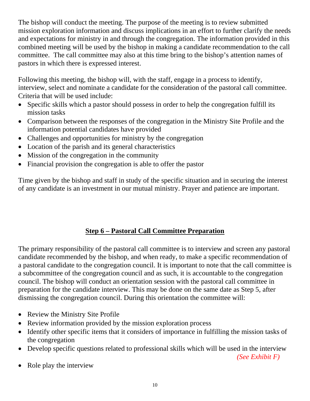The bishop will conduct the meeting. The purpose of the meeting is to review submitted mission exploration information and discuss implications in an effort to further clarify the needs and expectations for ministry in and through the congregation. The information provided in this combined meeting will be used by the bishop in making a candidate recommendation to the call committee. The call committee may also at this time bring to the bishop's attention names of pastors in which there is expressed interest.

Following this meeting, the bishop will, with the staff, engage in a process to identify, interview, select and nominate a candidate for the consideration of the pastoral call committee. Criteria that will be used include:

- Specific skills which a pastor should possess in order to help the congregation fulfill its mission tasks
- Comparison between the responses of the congregation in the Ministry Site Profile and the information potential candidates have provided
- Challenges and opportunities for ministry by the congregation
- Location of the parish and its general characteristics
- Mission of the congregation in the community
- Financial provision the congregation is able to offer the pastor

Time given by the bishop and staff in study of the specific situation and in securing the interest of any candidate is an investment in our mutual ministry. Prayer and patience are important.

### **Step 6 – Pastoral Call Committee Preparation**

The primary responsibility of the pastoral call committee is to interview and screen any pastoral candidate recommended by the bishop, and when ready, to make a specific recommendation of a pastoral candidate to the congregation council. It is important to note that the call committee is a subcommittee of the congregation council and as such, it is accountable to the congregation council. The bishop will conduct an orientation session with the pastoral call committee in preparation for the candidate interview. This may be done on the same date as Step 5, after dismissing the congregation council. During this orientation the committee will:

- Review the Ministry Site Profile
- Review information provided by the mission exploration process
- Identify other specific items that it considers of importance in fulfilling the mission tasks of the congregation
- Develop specific questions related to professional skills which will be used in the interview

*(See Exhibit F)*

• Role play the interview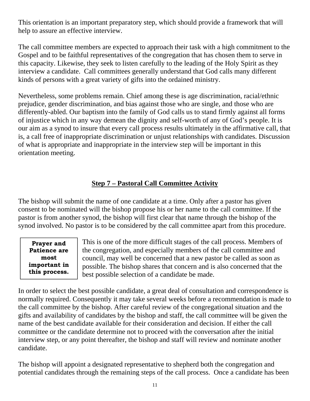This orientation is an important preparatory step, which should provide a framework that will help to assure an effective interview.

The call committee members are expected to approach their task with a high commitment to the Gospel and to be faithful representatives of the congregation that has chosen them to serve in this capacity. Likewise, they seek to listen carefully to the leading of the Holy Spirit as they interview a candidate. Call committees generally understand that God calls many different kinds of persons with a great variety of gifts into the ordained ministry.

Nevertheless, some problems remain. Chief among these is age discrimination, racial/ethnic prejudice, gender discrimination, and bias against those who are single, and those who are differently-abled. Our baptism into the family of God calls us to stand firmly against all forms of injustice which in any way demean the dignity and self-worth of any of God's people. It is our aim as a synod to insure that every call process results ultimately in the affirmative call, that is, a call free of inappropriate discrimination or unjust relationships with candidates. Discussion of what is appropriate and inappropriate in the interview step will be important in this orientation meeting.

#### **Step 7 – Pastoral Call Committee Activity**

The bishop will submit the name of one candidate at a time. Only after a pastor has given consent to be nominated will the bishop propose his or her name to the call committee. If the pastor is from another synod, the bishop will first clear that name through the bishop of the synod involved. No pastor is to be considered by the call committee apart from this procedure.

**Prayer and Patience are most important in this process.** 

This is one of the more difficult stages of the call process. Members of the congregation, and especially members of the call committee and council, may well be concerned that a new pastor be called as soon as possible. The bishop shares that concern and is also concerned that the best possible selection of a candidate be made.

In order to select the best possible candidate, a great deal of consultation and correspondence is normally required. Consequently it may take several weeks before a recommendation is made to the call committee by the bishop. After careful review of the congregational situation and the gifts and availability of candidates by the bishop and staff, the call committee will be given the name of the best candidate available for their consideration and decision. If either the call committee or the candidate determine not to proceed with the conversation after the initial interview step, or any point thereafter, the bishop and staff will review and nominate another candidate.

The bishop will appoint a designated representative to shepherd both the congregation and potential candidates through the remaining steps of the call process. Once a candidate has been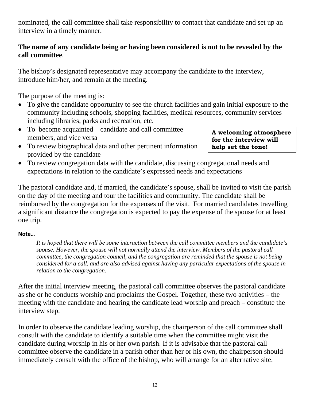nominated, the call committee shall take responsibility to contact that candidate and set up an interview in a timely manner.

#### **The name of any candidate being or having been considered is not to be revealed by the call committee**.

The bishop's designated representative may accompany the candidate to the interview, introduce him/her, and remain at the meeting.

The purpose of the meeting is:

- To give the candidate opportunity to see the church facilities and gain initial exposure to the community including schools, shopping facilities, medical resources, community services including libraries, parks and recreation, etc.
- To become acquainted—candidate and call committee members, and vice versa
- To review biographical data and other pertinent information provided by the candidate

**A welcoming atmosphere for the interview will help set the tone!** 

 To review congregation data with the candidate, discussing congregational needs and expectations in relation to the candidate's expressed needs and expectations

The pastoral candidate and, if married, the candidate's spouse, shall be invited to visit the parish on the day of the meeting and tour the facilities and community. The candidate shall be reimbursed by the congregation for the expenses of the visit. For married candidates travelling a significant distance the congregation is expected to pay the expense of the spouse for at least one trip.

#### **Note…**

*It is hoped that there will be some interaction between the call committee members and the candidate's spouse. However, the spouse will not normally attend the interview. Members of the pastoral call committee, the congregation council, and the congregation are reminded that the spouse is not being considered for a call, and are also advised against having any particular expectations of the spouse in relation to the congregation.* 

After the initial interview meeting, the pastoral call committee observes the pastoral candidate as she or he conducts worship and proclaims the Gospel. Together, these two activities – the meeting with the candidate and hearing the candidate lead worship and preach – constitute the interview step.

In order to observe the candidate leading worship, the chairperson of the call committee shall consult with the candidate to identify a suitable time when the committee might visit the candidate during worship in his or her own parish. If it is advisable that the pastoral call committee observe the candidate in a parish other than her or his own, the chairperson should immediately consult with the office of the bishop, who will arrange for an alternative site.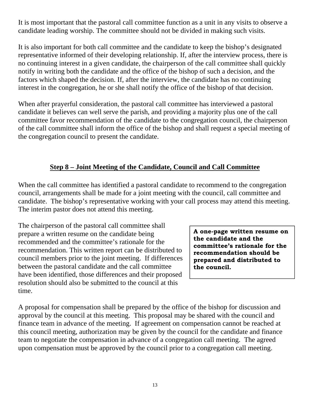It is most important that the pastoral call committee function as a unit in any visits to observe a candidate leading worship. The committee should not be divided in making such visits.

It is also important for both call committee and the candidate to keep the bishop's designated representative informed of their developing relationship. If, after the interview process, there is no continuing interest in a given candidate, the chairperson of the call committee shall quickly notify in writing both the candidate and the office of the bishop of such a decision, and the factors which shaped the decision. If, after the interview, the candidate has no continuing interest in the congregation, he or she shall notify the office of the bishop of that decision.

When after prayerful consideration, the pastoral call committee has interviewed a pastoral candidate it believes can well serve the parish, and providing a majority plus one of the call committee favor recommendation of the candidate to the congregation council, the chairperson of the call committee shall inform the office of the bishop and shall request a special meeting of the congregation council to present the candidate.

#### **Step 8 – Joint Meeting of the Candidate, Council and Call Committee**

When the call committee has identified a pastoral candidate to recommend to the congregation council, arrangements shall be made for a joint meeting with the council, call committee and candidate. The bishop's representative working with your call process may attend this meeting. The interim pastor does not attend this meeting.

The chairperson of the pastoral call committee shall prepare a written resume on the candidate being recommended and the committee's rationale for the recommendation. This written report can be distributed to council members prior to the joint meeting. If differences between the pastoral candidate and the call committee have been identified, those differences and their proposed resolution should also be submitted to the council at this time.

**A one-page written resume on the candidate and the committee's rationale for the recommendation should be prepared and distributed to the council.** 

A proposal for compensation shall be prepared by the office of the bishop for discussion and approval by the council at this meeting. This proposal may be shared with the council and finance team in advance of the meeting. If agreement on compensation cannot be reached at this council meeting, authorization may be given by the council for the candidate and finance team to negotiate the compensation in advance of a congregation call meeting. The agreed upon compensation must be approved by the council prior to a congregation call meeting.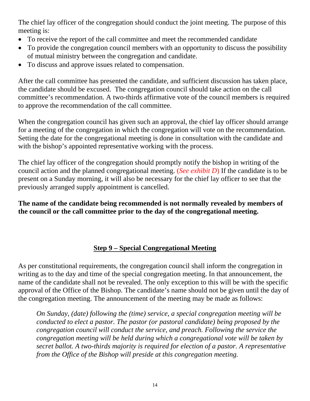The chief lay officer of the congregation should conduct the joint meeting. The purpose of this meeting is:

- To receive the report of the call committee and meet the recommended candidate
- To provide the congregation council members with an opportunity to discuss the possibility of mutual ministry between the congregation and candidate.
- To discuss and approve issues related to compensation.

After the call committee has presented the candidate, and sufficient discussion has taken place, the candidate should be excused. The congregation council should take action on the call committee's recommendation. A two-thirds affirmative vote of the council members is required to approve the recommendation of the call committee.

When the congregation council has given such an approval, the chief lay officer should arrange for a meeting of the congregation in which the congregation will vote on the recommendation. Setting the date for the congregational meeting is done in consultation with the candidate and with the bishop's appointed representative working with the process.

The chief lay officer of the congregation should promptly notify the bishop in writing of the council action and the planned congregational meeting. (*See exhibit D*) If the candidate is to be present on a Sunday morning, it will also be necessary for the chief lay officer to see that the previously arranged supply appointment is cancelled.

**The name of the candidate being recommended is not normally revealed by members of the council or the call committee prior to the day of the congregational meeting.** 

#### **Step 9 – Special Congregational Meeting**

As per constitutional requirements, the congregation council shall inform the congregation in writing as to the day and time of the special congregation meeting. In that announcement, the name of the candidate shall not be revealed. The only exception to this will be with the specific approval of the Office of the Bishop. The candidate's name should not be given until the day of the congregation meeting. The announcement of the meeting may be made as follows:

*On Sunday, (date) following the (time) service, a special congregation meeting will be conducted to elect a pastor. The pastor (or pastoral candidate) being proposed by the congregation council will conduct the service, and preach. Following the service the congregation meeting will be held during which a congregational vote will be taken by secret ballot. A two-thirds majority is required for election of a pastor. A representative from the Office of the Bishop will preside at this congregation meeting.*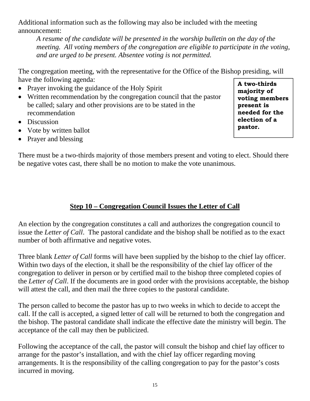Additional information such as the following may also be included with the meeting announcement:

*A resume of the candidate will be presented in the worship bulletin on the day of the meeting. All voting members of the congregation are eligible to participate in the voting, and are urged to be present. Absentee voting is not permitted.* 

The congregation meeting, with the representative for the Office of the Bishop presiding, will have the following agenda:

- Prayer invoking the guidance of the Holy Spirit
- Written recommendation by the congregation council that the pastor be called; salary and other provisions are to be stated in the recommendation
- Discussion
- Vote by written ballot
- Prayer and blessing

**A two-thirds majority of voting members present is needed for the election of a pastor.** 

There must be a two-thirds majority of those members present and voting to elect. Should there be negative votes cast, there shall be no motion to make the vote unanimous.

#### **Step 10 – Congregation Council Issues the Letter of Call**

An election by the congregation constitutes a call and authorizes the congregation council to issue the *Letter of Call*. The pastoral candidate and the bishop shall be notified as to the exact number of both affirmative and negative votes.

Three blank *Letter of Call* forms will have been supplied by the bishop to the chief lay officer. Within two days of the election, it shall be the responsibility of the chief lay officer of the congregation to deliver in person or by certified mail to the bishop three completed copies of the *Letter of Call*. If the documents are in good order with the provisions acceptable, the bishop will attest the call, and then mail the three copies to the pastoral candidate.

The person called to become the pastor has up to two weeks in which to decide to accept the call. If the call is accepted, a signed letter of call will be returned to both the congregation and the bishop. The pastoral candidate shall indicate the effective date the ministry will begin. The acceptance of the call may then be publicized.

Following the acceptance of the call, the pastor will consult the bishop and chief lay officer to arrange for the pastor's installation, and with the chief lay officer regarding moving arrangements. It is the responsibility of the calling congregation to pay for the pastor's costs incurred in moving.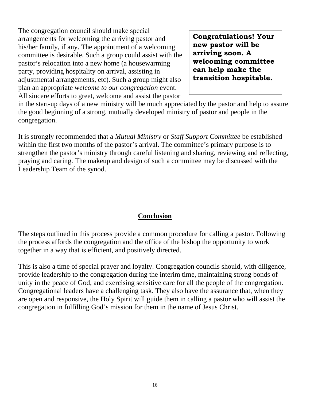The congregation council should make special arrangements for welcoming the arriving pastor and his/her family, if any. The appointment of a welcoming committee is desirable. Such a group could assist with the pastor's relocation into a new home (a housewarming party, providing hospitality on arrival, assisting in adjustmental arrangements, etc). Such a group might also plan an appropriate *welcome to our congregation* event. All sincere efforts to greet, welcome and assist the pastor

**Congratulations! Your new pastor will be arriving soon. A welcoming committee can help make the transition hospitable.** 

in the start-up days of a new ministry will be much appreciated by the pastor and help to assure the good beginning of a strong, mutually developed ministry of pastor and people in the congregation.

It is strongly recommended that a *Mutual Ministry* or *Staff Support Committee* be established within the first two months of the pastor's arrival. The committee's primary purpose is to strengthen the pastor's ministry through careful listening and sharing, reviewing and reflecting, praying and caring. The makeup and design of such a committee may be discussed with the Leadership Team of the synod.

#### **Conclusion**

The steps outlined in this process provide a common procedure for calling a pastor. Following the process affords the congregation and the office of the bishop the opportunity to work together in a way that is efficient, and positively directed.

This is also a time of special prayer and loyalty. Congregation councils should, with diligence, provide leadership to the congregation during the interim time, maintaining strong bonds of unity in the peace of God, and exercising sensitive care for all the people of the congregation. Congregational leaders have a challenging task. They also have the assurance that, when they are open and responsive, the Holy Spirit will guide them in calling a pastor who will assist the congregation in fulfilling God's mission for them in the name of Jesus Christ.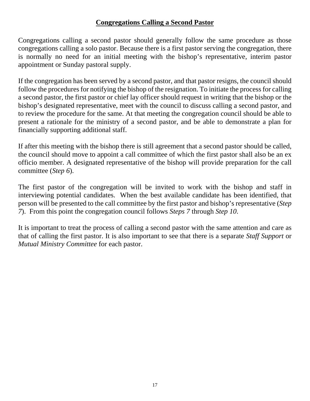#### **Congregations Calling a Second Pastor**

Congregations calling a second pastor should generally follow the same procedure as those congregations calling a solo pastor. Because there is a first pastor serving the congregation, there is normally no need for an initial meeting with the bishop's representative, interim pastor appointment or Sunday pastoral supply.

If the congregation has been served by a second pastor, and that pastor resigns, the council should follow the procedures for notifying the bishop of the resignation. To initiate the process for calling a second pastor, the first pastor or chief lay officer should request in writing that the bishop or the bishop's designated representative, meet with the council to discuss calling a second pastor, and to review the procedure for the same. At that meeting the congregation council should be able to present a rationale for the ministry of a second pastor, and be able to demonstrate a plan for financially supporting additional staff.

If after this meeting with the bishop there is still agreement that a second pastor should be called, the council should move to appoint a call committee of which the first pastor shall also be an ex officio member. A designated representative of the bishop will provide preparation for the call committee (*Step 6*).

The first pastor of the congregation will be invited to work with the bishop and staff in interviewing potential candidates. When the best available candidate has been identified, that person will be presented to the call committee by the first pastor and bishop's representative (*Step 7*). From this point the congregation council follows *Steps 7* through *Step 10*.

It is important to treat the process of calling a second pastor with the same attention and care as that of calling the first pastor. It is also important to see that there is a separate *Staff Support* or *Mutual Ministry Committee* for each pastor.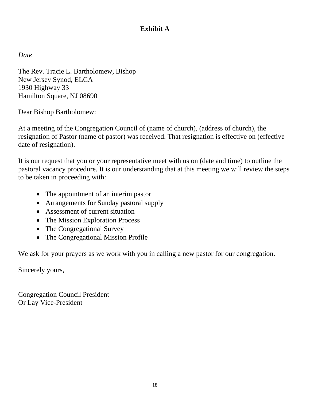#### **Exhibit A**

*Date* 

The Rev. Tracie L. Bartholomew, Bishop New Jersey Synod, ELCA 1930 Highway 33 Hamilton Square, NJ 08690

Dear Bishop Bartholomew:

At a meeting of the Congregation Council of (name of church), (address of church), the resignation of Pastor (name of pastor) was received. That resignation is effective on (effective date of resignation).

It is our request that you or your representative meet with us on (date and time) to outline the pastoral vacancy procedure. It is our understanding that at this meeting we will review the steps to be taken in proceeding with:

- The appointment of an interim pastor
- Arrangements for Sunday pastoral supply
- Assessment of current situation
- The Mission Exploration Process
- The Congregational Survey
- The Congregational Mission Profile

We ask for your prayers as we work with you in calling a new pastor for our congregation.

Sincerely yours,

Congregation Council President Or Lay Vice-President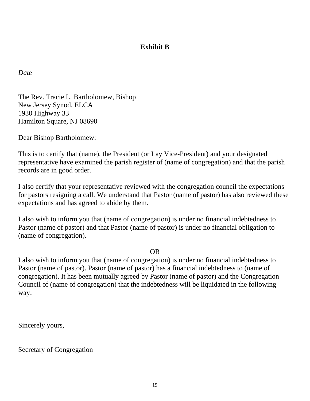#### **Exhibit B**

*Date* 

The Rev. Tracie L. Bartholomew, Bishop New Jersey Synod, ELCA 1930 Highway 33 Hamilton Square, NJ 08690

Dear Bishop Bartholomew:

This is to certify that (name), the President (or Lay Vice-President) and your designated representative have examined the parish register of (name of congregation) and that the parish records are in good order.

I also certify that your representative reviewed with the congregation council the expectations for pastors resigning a call. We understand that Pastor (name of pastor) has also reviewed these expectations and has agreed to abide by them.

I also wish to inform you that (name of congregation) is under no financial indebtedness to Pastor (name of pastor) and that Pastor (name of pastor) is under no financial obligation to (name of congregation).

#### OR

I also wish to inform you that (name of congregation) is under no financial indebtedness to Pastor (name of pastor). Pastor (name of pastor) has a financial indebtedness to (name of congregation). It has been mutually agreed by Pastor (name of pastor) and the Congregation Council of (name of congregation) that the indebtedness will be liquidated in the following way:

Sincerely yours,

Secretary of Congregation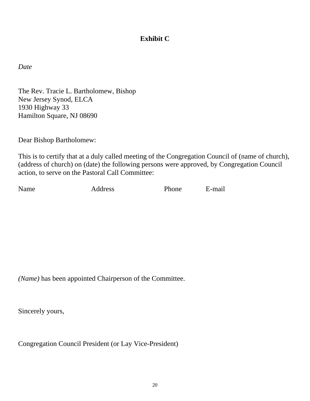#### **Exhibit C**

*Date* 

The Rev. Tracie L. Bartholomew, Bishop New Jersey Synod, ELCA 1930 Highway 33 Hamilton Square, NJ 08690

Dear Bishop Bartholomew:

This is to certify that at a duly called meeting of the Congregation Council of (name of church), (address of church) on (date) the following persons were approved, by Congregation Council action, to serve on the Pastoral Call Committee:

Name Address Phone E-mail

*(Name)* has been appointed Chairperson of the Committee.

Sincerely yours,

Congregation Council President (or Lay Vice-President)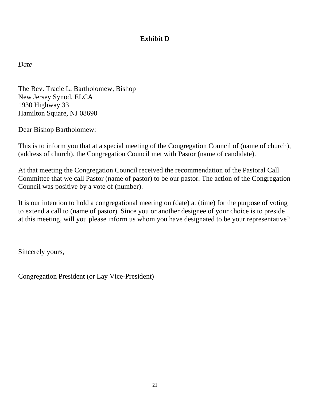#### **Exhibit D**

*Date* 

The Rev. Tracie L. Bartholomew, Bishop New Jersey Synod, ELCA 1930 Highway 33 Hamilton Square, NJ 08690

Dear Bishop Bartholomew:

This is to inform you that at a special meeting of the Congregation Council of (name of church), (address of church), the Congregation Council met with Pastor (name of candidate).

At that meeting the Congregation Council received the recommendation of the Pastoral Call Committee that we call Pastor (name of pastor) to be our pastor. The action of the Congregation Council was positive by a vote of (number).

It is our intention to hold a congregational meeting on (date) at (time) for the purpose of voting to extend a call to (name of pastor). Since you or another designee of your choice is to preside at this meeting, will you please inform us whom you have designated to be your representative?

Sincerely yours,

Congregation President (or Lay Vice-President)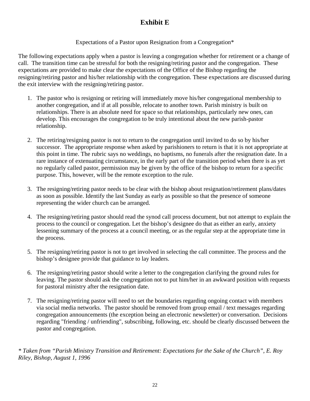#### **Exhibit E**

#### Expectations of a Pastor upon Resignation from a Congregation\*

The following expectations apply when a pastor is leaving a congregation whether for retirement or a change of call. The transition time can be stressful for both the resigning/retiring pastor and the congregation. These expectations are provided to make clear the expectations of the Office of the Bishop regarding the resigning/retiring pastor and his/her relationship with the congregation. These expectations are discussed during the exit interview with the resigning/retiring pastor.

- 1. The pastor who is resigning or retiring will immediately move his/her congregational membership to another congregation, and if at all possible, relocate to another town. Parish ministry is built on relationships. There is an absolute need for space so that relationships, particularly new ones, can develop. This encourages the congregation to be truly intentional about the new parish-pastor relationship.
- 2. The retiring/resigning pastor is not to return to the congregation until invited to do so by his/her successor. The appropriate response when asked by parishioners to return is that it is not appropriate at this point in time. The rubric says no weddings, no baptisms, no funerals after the resignation date. In a rare instance of extenuating circumstance, in the early part of the transition period when there is as yet no regularly called pastor, permission may be given by the office of the bishop to return for a specific purpose. This, however, will be the remote exception to the rule.
- 3. The resigning/retiring pastor needs to be clear with the bishop about resignation/retirement plans/dates as soon as possible. Identify the last Sunday as early as possible so that the presence of someone representing the wider church can be arranged.
- 4. The resigning/retiring pastor should read the synod call process document, but not attempt to explain the process to the council or congregation. Let the bishop's designee do that as either an early, anxiety lessening summary of the process at a council meeting, or as the regular step at the appropriate time in the process.
- 5. The resigning/retiring pastor is not to get involved in selecting the call committee. The process and the bishop's designee provide that guidance to lay leaders.
- 6. The resigning/retiring pastor should write a letter to the congregation clarifying the ground rules for leaving. The pastor should ask the congregation not to put him/her in an awkward position with requests for pastoral ministry after the resignation date.
- 7. The resigning/retiring pastor will need to set the boundaries regarding ongoing contact with members via social media networks. The pastor should be removed from group email / text messages regarding congregation announcements (the exception being an electronic newsletter) or conversation. Decisions regarding "friending / unfriending", subscribing, following, etc. should be clearly discussed between the pastor and congregation.

*\* Taken from "Parish Ministry Transition and Retirement: Expectations for the Sake of the Church", E. Roy Riley, Bishop, August 1, 1996*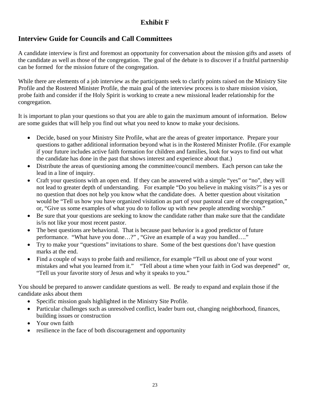#### **Exhibit F**

#### **Interview Guide for Councils and Call Committees**

A candidate interview is first and foremost an opportunity for conversation about the mission gifts and assets of the candidate as well as those of the congregation. The goal of the debate is to discover if a fruitful partnership can be formed for the mission future of the congregation.

While there are elements of a job interview as the participants seek to clarify points raised on the Ministry Site Profile and the Rostered Minister Profile, the main goal of the interview process is to share mission vision, probe faith and consider if the Holy Spirit is working to create a new missional leader relationship for the congregation.

It is important to plan your questions so that you are able to gain the maximum amount of information. Below are some guides that will help you find out what you need to know to make your decisions.

- Decide, based on your Ministry Site Profile, what are the areas of greater importance. Prepare your questions to gather additional information beyond what is in the Rostered Minister Profile. (For example if your future includes active faith formation for children and families, look for ways to find out what the candidate has done in the past that shows interest and experience about that.)
- Distribute the areas of questioning among the committee/council members. Each person can take the lead in a line of inquiry.
- Craft your questions with an open end. If they can be answered with a simple "yes" or "no", they will not lead to greater depth of understanding. For example "Do you believe in making visits?" is a yes or no question that does not help you know what the candidate does. A better question about visitation would be "Tell us how you have organized visitation as part of your pastoral care of the congregation," or, "Give us some examples of what you do to follow up with new people attending worship."
- Be sure that your questions are seeking to know the candidate rather than make sure that the candidate is/is not like your most recent pastor.
- The best questions are behavioral. That is because past behavior is a good predictor of future performance. "What have you done…?" , "Give an example of a way you handled…."
- Try to make your "questions" invitations to share. Some of the best questions don't have question marks at the end.
- Find a couple of ways to probe faith and resilience, for example "Tell us about one of your worst mistakes and what you learned from it." "Tell about a time when your faith in God was deepened" or, "Tell us your favorite story of Jesus and why it speaks to you."

You should be prepared to answer candidate questions as well. Be ready to expand and explain those if the candidate asks about them

- Specific mission goals highlighted in the Ministry Site Profile.
- Particular challenges such as unresolved conflict, leader burn out, changing neighborhood, finances, building issues or construction
- Your own faith
- resilience in the face of both discouragement and opportunity